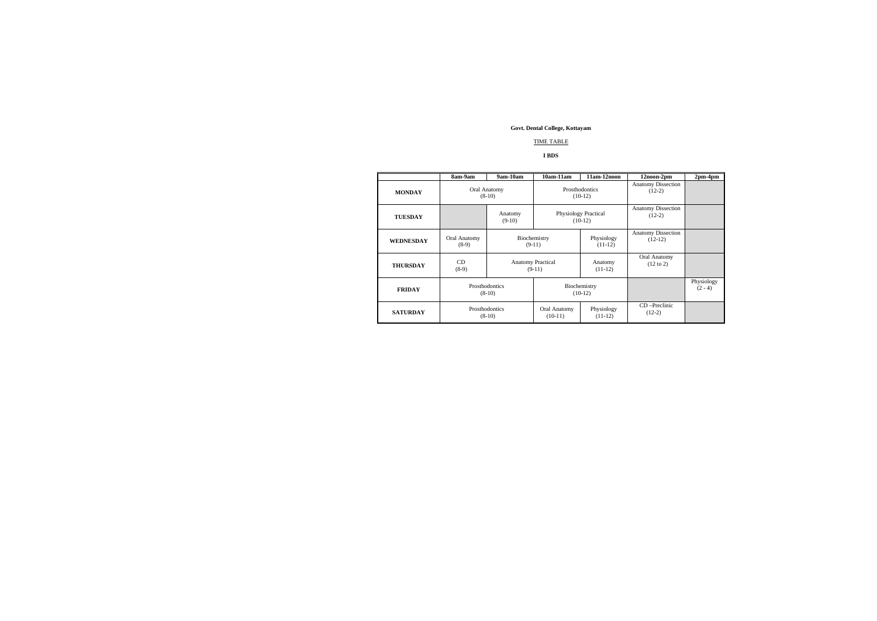## TIME TABLE

### **I BDS**

|                  | 8am-9am                    | 9am-10am                   | $10am-11am$                              | 11am-12noon             | 12noon-2pm                             | $2pm-4pm$               |
|------------------|----------------------------|----------------------------|------------------------------------------|-------------------------|----------------------------------------|-------------------------|
| <b>MONDAY</b>    | Oral Anatomy<br>$(8-10)$   |                            | Prosthodontics<br>$(10-12)$              |                         | <b>Anatomy Dissection</b><br>$(12-2)$  |                         |
| <b>TUESDAY</b>   |                            | Anatomy<br>$(9-10)$        | <b>Physiology Practical</b><br>$(10-12)$ |                         | <b>Anatomy Dissection</b><br>$(12-2)$  |                         |
| <b>WEDNESDAY</b> | Oral Anatomy<br>$(8-9)$    | Biochemistry<br>$(9-11)$   |                                          | Physiology<br>$(11-12)$ | <b>Anatomy Dissection</b><br>$(12-12)$ |                         |
| <b>THURSDAY</b>  | CD<br>$(8-9)$              |                            | <b>Anatomy Practical</b><br>$(9-11)$     | Anatomy<br>$(11-12)$    | Oral Anatomy<br>$(12 \text{ to } 2)$   |                         |
| <b>FRIDAY</b>    | Prosthodontics<br>$(8-10)$ |                            | Biochemistry<br>$(10-12)$                |                         |                                        | Physiology<br>$(2 - 4)$ |
| <b>SATURDAY</b>  |                            | Prosthodontics<br>$(8-10)$ | Oral Anatomy<br>$(10-11)$                | Physiology<br>$(11-12)$ | $CD$ -Preclinic<br>$(12-2)$            |                         |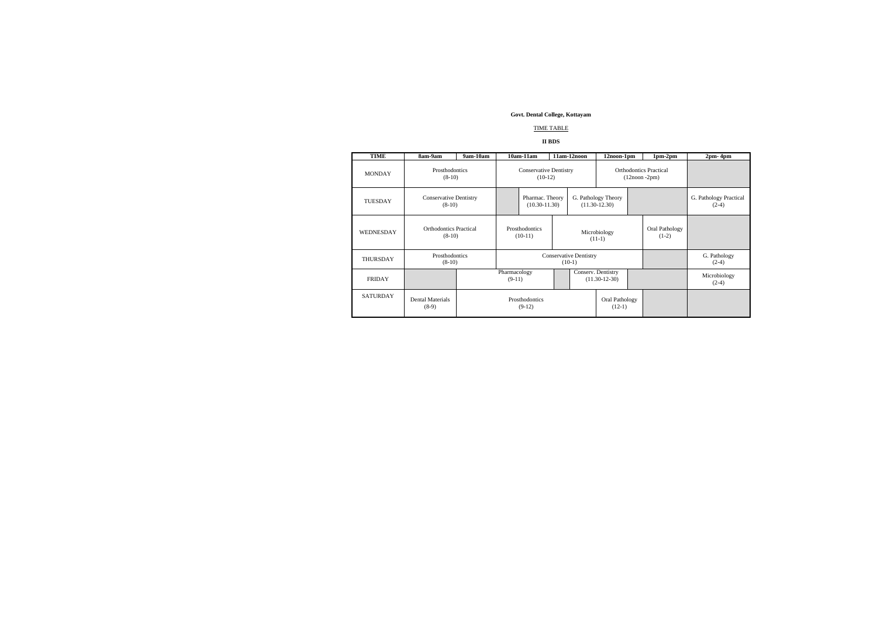# TIME TABLE

# **II BDS**

| <b>TIME</b>      | 8am-9am                                   | 9am-10am                   |                                            | $10am-11am$                               |                                                  | 11am-12noon                              | 12noon-1pm                |                         | $1pm-2pm$                         | $2pm - 4pm$ |
|------------------|-------------------------------------------|----------------------------|--------------------------------------------|-------------------------------------------|--------------------------------------------------|------------------------------------------|---------------------------|-------------------------|-----------------------------------|-------------|
| <b>MONDAY</b>    | Prosthodontics<br>$(8-10)$                |                            | <b>Conservative Dentistry</b><br>$(10-12)$ |                                           | <b>Orthodontics Practical</b><br>$(12noon -2pm)$ |                                          |                           |                         |                                   |             |
| <b>TUESDAY</b>   | <b>Conservative Dentistry</b><br>$(8-10)$ |                            |                                            | Pharmac. Theory<br>$(10.30 - 11.30)$      |                                                  | G. Pathology Theory<br>$(11.30 - 12.30)$ |                           |                         | G. Pathology Practical<br>$(2-4)$ |             |
| <b>WEDNESDAY</b> | <b>Orthodontics Practical</b><br>$(8-10)$ |                            | Prosthodontics<br>$(10-11)$                |                                           | Microbiology<br>$(11-1)$                         |                                          | Oral Pathology<br>$(1-2)$ |                         |                                   |             |
| <b>THURSDAY</b>  | Prosthodontics<br>$(8-10)$                |                            |                                            | <b>Conservative Dentistry</b><br>$(10-1)$ |                                                  |                                          | G. Pathology<br>$(2-4)$   |                         |                                   |             |
| <b>FRIDAY</b>    |                                           | Pharmacology<br>$(9-11)$   |                                            |                                           | Conserv. Dentistry<br>$(11.30-12-30)$            |                                          |                           | Microbiology<br>$(2-4)$ |                                   |             |
| <b>SATURDAY</b>  | <b>Dental Materials</b><br>$(8-9)$        | Prosthodontics<br>$(9-12)$ |                                            |                                           |                                                  | Oral Pathology<br>$(12-1)$               |                           |                         |                                   |             |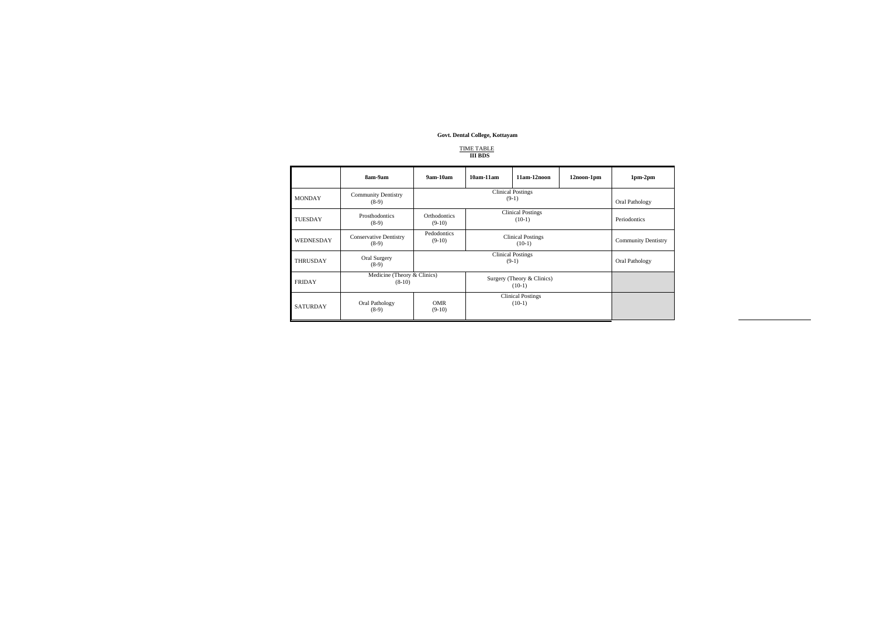# TIME TABLE  **III BDS**

|                 | 8am-9am                                  | $9am-10am$                          | $10am-11am$                            | $11am-12noon$ | 12noon-1pm                 | $1pm-2pm$      |
|-----------------|------------------------------------------|-------------------------------------|----------------------------------------|---------------|----------------------------|----------------|
| <b>MONDAY</b>   | <b>Community Dentistry</b><br>$(8-9)$    |                                     | Oral Pathology                         |               |                            |                |
| <b>TUESDAY</b>  | Prosthodontics<br>$(8-9)$                | <b>Orthodontics</b><br>$(9-10)$     | <b>Clinical Postings</b><br>$(10-1)$   |               |                            | Periodontics   |
| WEDNESDAY       | <b>Conservative Dentistry</b><br>$(8-9)$ | Pedodontics<br>$(9-10)$             | <b>Clinical Postings</b><br>$(10-1)$   |               | <b>Community Dentistry</b> |                |
| <b>THRUSDAY</b> | Oral Surgery<br>$(8-9)$                  | <b>Clinical Postings</b><br>$(9-1)$ |                                        |               |                            | Oral Pathology |
| <b>FRIDAY</b>   | Medicine (Theory & Clinics)<br>$(8-10)$  |                                     | Surgery (Theory & Clinics)<br>$(10-1)$ |               |                            |                |
| <b>SATURDAY</b> | Oral Pathology<br>$(8-9)$                | <b>OMR</b><br>$(9-10)$              | <b>Clinical Postings</b><br>$(10-1)$   |               |                            |                |

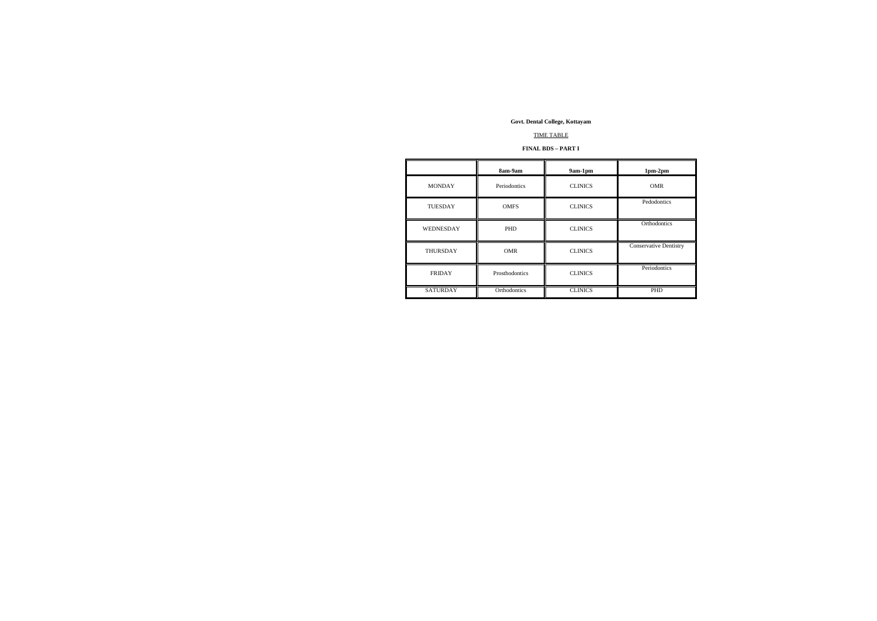### TIME TABLE

### **FINAL BDS – PART I**

|                  | 8am-9am        | 9am-1pm        | $1pm-2pm$                     |
|------------------|----------------|----------------|-------------------------------|
| <b>MONDAY</b>    | Periodontics   | <b>CLINICS</b> | <b>OMR</b>                    |
| <b>TUESDAY</b>   | <b>OMFS</b>    | <b>CLINICS</b> | Pedodontics                   |
| <b>WEDNESDAY</b> | <b>PHD</b>     | <b>CLINICS</b> | Orthodontics                  |
| <b>THURSDAY</b>  | <b>OMR</b>     | <b>CLINICS</b> | <b>Conservative Dentistry</b> |
| <b>FRIDAY</b>    | Prosthodontics | <b>CLINICS</b> | Periodontics                  |
| <b>SATURDAY</b>  | Orthodontics   | <b>CLINICS</b> | <b>PHD</b>                    |